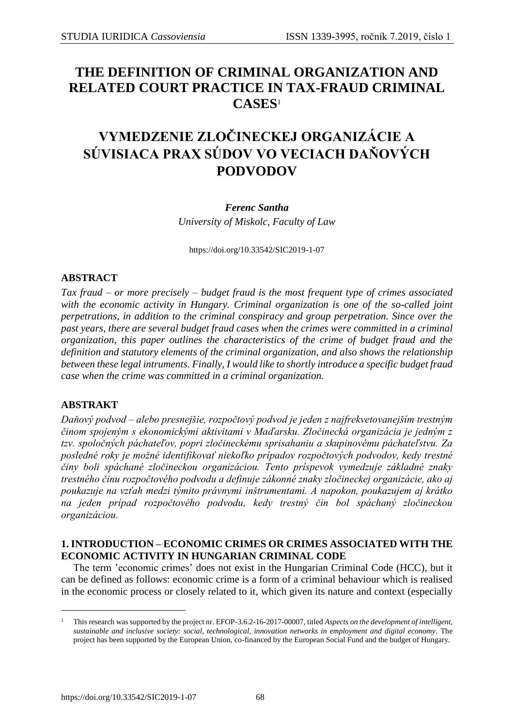## **THE DEFINITION OF CRIMINAL ORGANIZATION AND RELATED COURT PRACTICE IN TAX-FRAUD CRIMINAL CASES**<sup>1</sup>

# **VYMEDZENIE ZLOČINECKEJ ORGANIZÁCIE A SÚVISIACA PRAX SÚDOV VO VECIACH DAŇOVÝCH PODVODOV**

#### *Ferenc Santha*

*University of Miskolc, Faculty of Law*

<https://doi.org/10.33542/SIC2019-1-07>

## **ABSTRACT**

*Tax fraud – or more precisely – budget fraud is the most frequent type of crimes associated with the economic activity in Hungary. Criminal organization is one of the so-called joint perpetrations, in addition to the criminal conspiracy and group perpetration. Since over the past years, there are several budget fraud cases when the crimes were committed in a criminal organization, this paper outlines the characteristics of the crime of budget fraud and the definition and statutory elements of the criminal organization, and also shows the relationship between these legal intruments. Finally, I would like to shortly introduce a specific budget fraud case when the crime was committed in a criminal organization.*

### **ABSTRAKT**

1

*Daňový podvod – alebo presnejšie, rozpočtový podvod je jeden z najfrekvetovanejším trestným činom spojeným s ekonomickými aktivitami v Maďarsku. Zločinecká organizácia je jedným z tzv. spoločných páchateľov, popri zločineckému sprisahaniu a skupinovému páchateľstvu. Za posledné roky je možné identifikovať niekoľko prípadov rozpočtových podvodov, kedy trestné činy boli spáchané zločineckou organizáciou. Tento príspevok vymedzuje základné znaky trestného činu rozpočtového podvodu a definuje zákonné znaky zločineckej organizácie, ako aj poukazuje na vzťah medzi týmito právnymi inštrumentami. A napokon, poukazujem aj krátko na jeden prípad rozpočtového podvodu, kedy trestný čin bol spáchaný zločineckou organizáciou.* 

#### **1. INTRODUCTION – ECONOMIC CRIMES OR CRIMES ASSOCIATED WITH THE ECONOMIC ACTIVITY IN HUNGARIAN CRIMINAL CODE**

The term 'economic crimes' does not exist in the Hungarian Criminal Code (HCC), but it can be defined as follows: economic crime is a form of a criminal behaviour which is realised in the economic process or closely related to it, which given its nature and context (especially

<sup>1</sup> This research was supported by the project nr. EFOP-3.6.2-16-2017-00007, titled *Aspects on the development of intelligent, sustainable and inclusive society: social, technological, innovation networks in employment and digital economy*. The project has been supported by the European Union, co-financed by the European Social Fund and the budget of Hungary.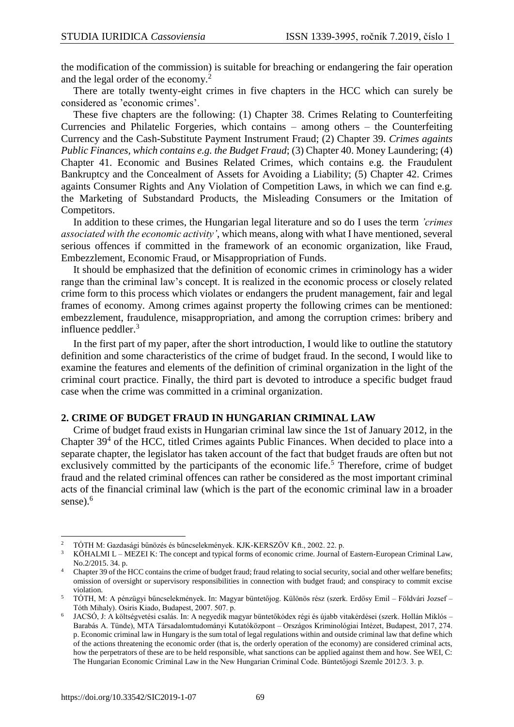the modification of the commission) is suitable for breaching or endangering the fair operation and the legal order of the economy.<sup>2</sup>

There are totally twenty-eight crimes in five chapters in the HCC which can surely be considered as 'economic crimes'.

These five chapters are the following: (1) Chapter 38. Crimes Relating to Counterfeiting Currencies and Philatelic Forgeries, which contains – among others – the Counterfeiting Currency and the Cash-Substitute Payment Instrument Fraud; (2) Chapter 39*. Crimes againts Public Finances, which contains e.g. the Budget Fraud*; (3) Chapter 40. Money Laundering; (4) Chapter 41. Economic and Busines Related Crimes, which contains e.g. the Fraudulent Bankruptcy and the Concealment of Assets for Avoiding a Liability; (5) Chapter 42. Crimes againts Consumer Rights and Any Violation of Competition Laws, in which we can find e.g. the Marketing of Substandard Products, the Misleading Consumers or the Imitation of Competitors.

In addition to these crimes, the Hungarian legal literature and so do I uses the term *'crimes associated with the economic activity'*, which means, along with what I have mentioned, several serious offences if committed in the framework of an economic organization, like Fraud, Embezzlement, Economic Fraud, or Misappropriation of Funds.

It should be emphasized that the definition of economic crimes in criminology has a wider range than the criminal law's concept. It is realized in the economic process or closely related crime form to this process which violates or endangers the prudent management, fair and legal frames of economy. Among crimes against property the following crimes can be mentioned: embezzlement, fraudulence, misappropriation, and among the corruption crimes: bribery and influence peddler. $3$ 

In the first part of my paper, after the short introduction, I would like to outline the statutory definition and some characteristics of the crime of budget fraud. In the second, I would like to examine the features and elements of the definition of criminal organization in the light of the criminal court practice. Finally, the third part is devoted to introduce a specific budget fraud case when the crime was committed in a criminal organization.

#### **2. CRIME OF BUDGET FRAUD IN HUNGARIAN CRIMINAL LAW**

Crime of budget fraud exists in Hungarian criminal law since the 1st of January 2012, in the Chapter  $39<sup>4</sup>$  of the HCC, titled Crimes againts Public Finances. When decided to place into a separate chapter, the legislator has taken account of the fact that budget frauds are often but not exclusively committed by the participants of the economic life.<sup>5</sup> Therefore, crime of budget fraud and the related criminal offences can rather be considered as the most important criminal acts of the financial criminal law (which is the part of the economic criminal law in a broader sense).<sup>6</sup>

1

 $^{2}$   $\,$  TÓTH M: Gazdasági bűnözés és bűncselekmények. KJK-KERSZÖV Kft., 2002. 22. p.

<sup>&</sup>lt;sup>3</sup> KÖHALMI L – MEZEI K: The concept and typical forms of economic crime. Journal of Eastern-European Criminal Law, No.2/2015. 34. p.

<sup>&</sup>lt;sup>4</sup> Chapter 39 of the HCC contains the crime of budget fraud; fraud relating to social security, social and other welfare benefits; omission of oversight or supervisory responsibilities in connection with budget fraud; and conspiracy to commit excise violation.

<sup>5</sup> TÓTH, M: A pénzügyi bűncselekmények. In: Magyar büntetőjog. Különös rész (szerk. Erdősy Emil – Földvári Jozsef – Tóth Mihaly). Osiris Kiado, Budapest, 2007. 507. p.

<sup>6</sup> JACSÓ, J: A költségvetési csalás. In: A negyedik magyar büntetőkódex régi és újabb vitakérdései (szerk. Hollán Miklós – Barabás A. Tünde), MTA Társadalomtudományi Kutatóközpont – Országos Kriminológiai Intézet, Budapest, 2017, 274. p. Economic criminal law in Hungary is the sum total of legal regulations within and outside criminal law that define which of the actions threatening the economic order (that is, the orderly operation of the economy) are considered criminal acts, how the perpetrators of these are to be held responsible, what sanctions can be applied against them and how. See WEI, C: The Hungarian Economic Criminal Law in the New Hungarian Criminal Code. Büntetőjogi Szemle 2012/3. 3. p.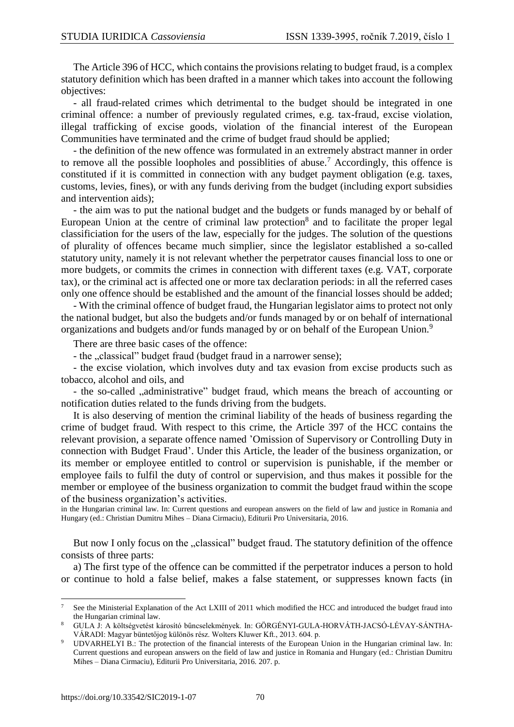The Article 396 of HCC, which contains the provisions relating to budget fraud, is a complex statutory definition which has been drafted in a manner which takes into account the following objectives:

- all fraud-related crimes which detrimental to the budget should be integrated in one criminal offence: a number of previously regulated crimes, e.g. tax-fraud, excise violation, illegal trafficking of excise goods, violation of the financial interest of the European Communities have terminated and the crime of budget fraud should be applied;

- the definition of the new offence was formulated in an extremely abstract manner in order to remove all the possible loopholes and possiblities of abuse.<sup>7</sup> Accordingly, this offence is constituted if it is committed in connection with any budget payment obligation (e.g. taxes, customs, levies, fines), or with any funds deriving from the budget (including export subsidies and intervention aids);

- the aim was to put the national budget and the budgets or funds managed by or behalf of European Union at the centre of criminal law protection<sup>8</sup> and to facilitate the proper legal classificiation for the users of the law, especially for the judges. The solution of the questions of plurality of offences became much simplier, since the legislator established a so-called statutory unity, namely it is not relevant whether the perpetrator causes financial loss to one or more budgets, or commits the crimes in connection with different taxes (e.g. VAT, corporate tax), or the criminal act is affected one or more tax declaration periods: in all the referred cases only one offence should be established and the amount of the financial losses should be added;

- With the criminal offence of budget fraud, the Hungarian legislator aims to protect not only the national budget, but also the budgets and/or funds managed by or on behalf of international organizations and budgets and/or funds managed by or on behalf of the European Union.<sup>9</sup>

There are three basic cases of the offence:

- the "classical" budget fraud (budget fraud in a narrower sense);

- the excise violation, which involves duty and tax evasion from excise products such as tobacco, alcohol and oils, and

- the so-called "administrative" budget fraud, which means the breach of accounting or notification duties related to the funds driving from the budgets.

It is also deserving of mention the criminal liability of the heads of business regarding the crime of budget fraud. With respect to this crime, the Article 397 of the HCC contains the relevant provision, a separate offence named 'Omission of Supervisory or Controlling Duty in connection with Budget Fraud'. Under this Article, the leader of the business organization, or its member or employee entitled to control or supervision is punishable, if the member or employee fails to fulfil the duty of control or supervision, and thus makes it possible for the member or employee of the business organization to commit the budget fraud within the scope of the business organization's activities.

in the Hungarian criminal law. In: Current questions and european answers on the field of law and justice in Romania and Hungary (ed.: Christian Dumitru Mihes – Diana Cirmaciu), Editurii Pro Universitaria, 2016.

But now I only focus on the "classical" budget fraud. The statutory definition of the offence consists of three parts:

a) The first type of the offence can be committed if the perpetrator induces a person to hold or continue to hold a false belief, makes a false statement, or suppresses known facts (in

 $\overline{a}$ 

<sup>7</sup> See the Ministerial Explanation of the Act LXIII of 2011 which modified the HCC and introduced the budget fraud into the Hungarian criminal law.

<sup>8</sup> GULA J: A költségvetést károsító bűncselekmények. In: GÖRGÉNYI-GULA-HORVÁTH-JACSÓ-LÉVAY-SÁNTHA-VÁRADI: Magyar büntetőjog különös rész. Wolters Kluwer Kft., 2013. 604. p.

<sup>9</sup> UDVARHELYI B.: The protection of the financial interests of the European Union in the Hungarian criminal law. In: Current questions and european answers on the field of law and justice in Romania and Hungary (ed.: Christian Dumitru Mihes – Diana Cirmaciu), Editurii Pro Universitaria, 2016. 207. p.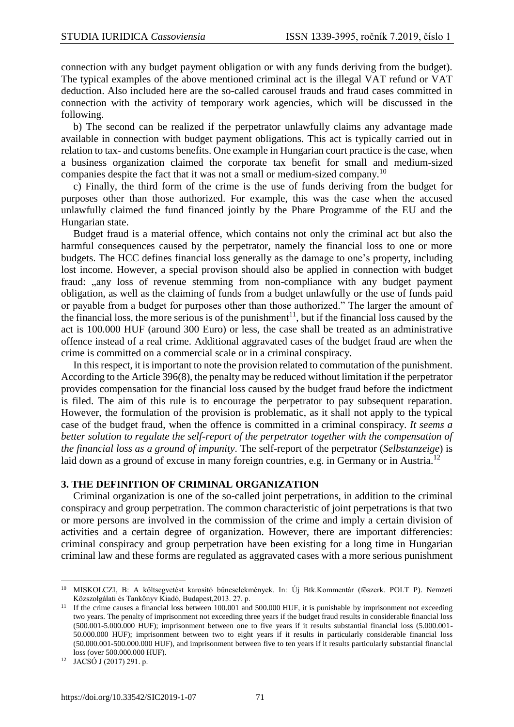connection with any budget payment obligation or with any funds deriving from the budget). The typical examples of the above mentioned criminal act is the illegal VAT refund or VAT deduction. Also included here are the so-called carousel frauds and fraud cases committed in connection with the activity of temporary work agencies, which will be discussed in the following.

b) The second can be realized if the perpetrator unlawfully claims any advantage made available in connection with budget payment obligations. This act is typically carried out in relation to tax- and customs benefits. One example in Hungarian court practice is the case, when a business organization claimed the corporate tax benefit for small and medium-sized companies despite the fact that it was not a small or medium-sized company.<sup>10</sup>

c) Finally, the third form of the crime is the use of funds deriving from the budget for purposes other than those authorized. For example, this was the case when the accused unlawfully claimed the fund financed jointly by the Phare Programme of the EU and the Hungarian state.

Budget fraud is a material offence, which contains not only the criminal act but also the harmful consequences caused by the perpetrator, namely the financial loss to one or more budgets. The HCC defines financial loss generally as the damage to one's property, including lost income. However, a special provison should also be applied in connection with budget fraud: "any loss of revenue stemming from non-compliance with any budget payment obligation, as well as the claiming of funds from a budget unlawfully or the use of funds paid or payable from a budget for purposes other than those authorized." The larger the amount of the financial loss, the more serious is of the punishment<sup>11</sup>, but if the financial loss caused by the act is 100.000 HUF (around 300 Euro) or less, the case shall be treated as an administrative offence instead of a real crime. Additional aggravated cases of the budget fraud are when the crime is committed on a commercial scale or in a criminal conspiracy.

In this respect, it is important to note the provision related to commutation of the punishment. According to the Article 396(8), the penalty may be reduced without limitation if the perpetrator provides compensation for the financial loss caused by the budget fraud before the indictment is filed. The aim of this rule is to encourage the perpetrator to pay subsequent reparation. However, the formulation of the provision is problematic, as it shall not apply to the typical case of the budget fraud, when the offence is committed in a criminal conspiracy. *It seems a better solution to regulate the self-report of the perpetrator together with the compensation of the financial loss as a ground of impunity*. The self-report of the perpetrator (*Selbstanzeige*) is laid down as a ground of excuse in many foreign countries, e.g. in Germany or in Austria.<sup>12</sup>

#### **3. THE DEFINITION OF CRIMINAL ORGANIZATION**

Criminal organization is one of the so-called joint perpetrations, in addition to the criminal conspiracy and group perpetration. The common characteristic of joint perpetrations is that two or more persons are involved in the commission of the crime and imply a certain division of activities and a certain degree of organization. However, there are important differencies: criminal conspiracy and group perpetration have been existing for a long time in Hungarian criminal law and these forms are regulated as aggravated cases with a more serious punishment

<sup>1</sup> <sup>10</sup> MISKOLCZI, B: A költsegvetést karosító bűncselekmények. In: Új Btk.Kommentár (főszerk. POLT P). Nemzeti Közszolgálati és Tankönyv Kiadó, Budapest,2013. 27. p.

<sup>&</sup>lt;sup>11</sup> If the crime causes a financial loss between 100.001 and 500.000 HUF, it is punishable by imprisonment not exceeding two years. The penalty of imprisonment not exceeding three years if the budget fraud results in considerable financial loss (500.001-5.000.000 HUF); imprisonment between one to five years if it results substantial financial loss (5.000.001- 50.000.000 HUF); imprisonment between two to eight years if it results in particularly considerable financial loss (50.000.001-500.000.000 HUF), and imprisonment between five to ten years if it results particularly substantial financial loss (over 500.000.000 HUF).

<sup>12</sup> JACSÓ J (2017) 291. p.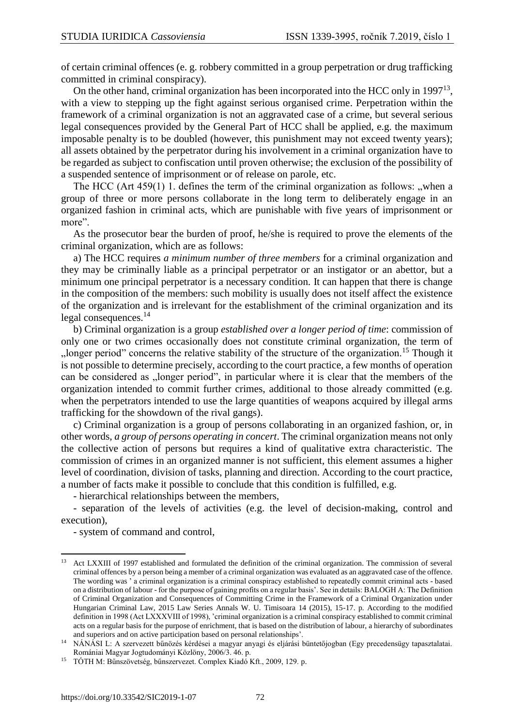of certain criminal offences (e. g. robbery committed in a group perpetration or drug trafficking committed in criminal conspiracy).

On the other hand, criminal organization has been incorporated into the HCC only in 1997<sup>13</sup>, with a view to stepping up the fight against serious organised crime. Perpetration within the framework of a criminal organization is not an aggravated case of a crime, but several serious legal consequences provided by the General Part of HCC shall be applied, e.g. the maximum imposable penalty is to be doubled (however, this punishment may not exceed twenty years); all assets obtained by the perpetrator during his involvement in a criminal organization have to be regarded as subject to confiscation until proven otherwise; the exclusion of the possibility of a suspended sentence of imprisonment or of release on parole, etc.

The HCC (Art  $459(1)$ ). defines the term of the criminal organization as follows: "when a group of three or more persons collaborate in the long term to deliberately engage in an organized fashion in criminal acts, which are punishable with five years of imprisonment or more".

As the prosecutor bear the burden of proof, he/she is required to prove the elements of the criminal organization, which are as follows:

a) The HCC requires *a minimum number of three members* for a criminal organization and they may be criminally liable as a principal perpetrator or an instigator or an abettor, but a minimum one principal perpetrator is a necessary condition. It can happen that there is change in the composition of the members: such mobility is usually does not itself affect the existence of the organization and is irrelevant for the establishment of the criminal organization and its legal consequences.<sup>14</sup>

b) Criminal organization is a group *established over a longer period of time*: commission of only one or two crimes occasionally does not constitute criminal organization, the term of , longer period" concerns the relative stability of the structure of the organization.<sup>15</sup> Though it is not possible to determine precisely, according to the court practice, a few months of operation can be considered as "longer period", in particular where it is clear that the members of the organization intended to commit further crimes, additional to those already committed (e.g. when the perpetrators intended to use the large quantities of weapons acquired by illegal arms trafficking for the showdown of the rival gangs).

c) Criminal organization is a group of persons collaborating in an organized fashion, or, in other words, *a group of persons operating in concert*. The criminal organization means not only the collective action of persons but requires a kind of qualitative extra characteristic. The commission of crimes in an organized manner is not sufficient, this element assumes a higher level of coordination, division of tasks, planning and direction. According to the court practice, a number of facts make it possible to conclude that this condition is fulfilled, e.g.

- hierarchical relationships between the members,

- separation of the levels of activities (e.g. the level of decision-making, control and execution),

- system of command and control,

**<sup>.</sup>** <sup>13</sup> Act LXXIII of 1997 established and formulated the definition of the criminal organization. The commission of several criminal offences by a person being a member of a criminal organization was evaluated as an aggravated case of the offence. The wording was ' a criminal organization is a criminal conspiracy established to repeatedly commit criminal acts - based on a distribution of labour - for the purpose of gaining profits on a regular basis'. See in details: BALOGH A: The Definition of Criminal Organization and Consequences of Committing Crime in the Framework of a Criminal Organization under Hungarian Criminal Law, 2015 Law Series Annals W. U. Timisoara 14 (2015), 15-17. p. According to the modified definition in 1998 (Act LXXXVIII of 1998), 'criminal organization is a criminal conspiracy established to commit criminal acts on a regular basis for the purpose of enrichment, that is based on the distribution of labour, a hierarchy of subordinates and superiors and on active participation based on personal relationships'.

<sup>14</sup> NÁNÁSI L: A szervezett bűnözés kérdései a magyar anyagi és eljárási büntetőjogban (Egy precedensügy tapasztalatai. Romániai Magyar Jogtudományi Közlöny, 2006/3. 46. p.

<sup>15</sup> TÓTH M: Bűnszövetség, bűnszervezet. Complex Kiadó Kft., 2009, 129. p.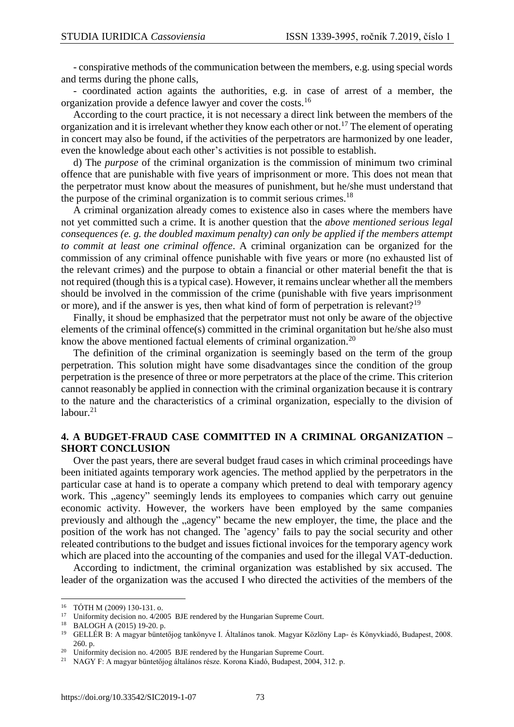- conspirative methods of the communication between the members, e.g. using special words and terms during the phone calls,

- coordinated action againts the authorities, e.g. in case of arrest of a member, the organization provide a defence lawyer and cover the costs.<sup>16</sup>

According to the court practice, it is not necessary a direct link between the members of the organization and it is irrelevant whether they know each other or not.<sup>17</sup> The element of operating in concert may also be found, if the activities of the perpetrators are harmonized by one leader, even the knowledge about each other's activities is not possible to establish.

d) The *purpose* of the criminal organization is the commission of minimum two criminal offence that are punishable with five years of imprisonment or more. This does not mean that the perpetrator must know about the measures of punishment, but he/she must understand that the purpose of the criminal organization is to commit serious crimes.<sup>18</sup>

A criminal organization already comes to existence also in cases where the members have not yet committed such a crime. It is another question that the *above mentioned serious legal consequences (e. g. the doubled maximum penalty) can only be applied if the members attempt to commit at least one criminal offence*. A criminal organization can be organized for the commission of any criminal offence punishable with five years or more (no exhausted list of the relevant crimes) and the purpose to obtain a financial or other material benefit the that is not required (though this is a typical case). However, it remains unclear whether all the members should be involved in the commission of the crime (punishable with five years imprisonment or more), and if the answer is yes, then what kind of form of perpetration is relevant?<sup>19</sup>

Finally, it shoud be emphasized that the perpetrator must not only be aware of the objective elements of the criminal offence(s) committed in the criminal organitation but he/she also must know the above mentioned factual elements of criminal organization.<sup>20</sup>

The definition of the criminal organization is seemingly based on the term of the group perpetration. This solution might have some disadvantages since the condition of the group perpetration is the presence of three or more perpetrators at the place of the crime. This criterion cannot reasonably be applied in connection with the criminal organization because it is contrary to the nature and the characteristics of a criminal organization, especially to the division of labour. $21$ 

#### **4. A BUDGET-FRAUD CASE COMMITTED IN A CRIMINAL ORGANIZATION – SHORT CONCLUSION**

Over the past years, there are several budget fraud cases in which criminal proceedings have been initiated againts temporary work agencies. The method applied by the perpetrators in the particular case at hand is to operate a company which pretend to deal with temporary agency work. This "agency" seemingly lends its employees to companies which carry out genuine economic activity. However, the workers have been employed by the same companies previously and although the "agency" became the new employer, the time, the place and the position of the work has not changed. The 'agency' fails to pay the social security and other releated contributions to the budget and issues fictional invoices for the temporary agency work which are placed into the accounting of the companies and used for the illegal VAT-deduction.

According to indictment, the criminal organization was established by six accused. The leader of the organization was the accused I who directed the activities of the members of the

 $\overline{a}$ 

<sup>16</sup> TÓTH M (2009) 130-131. o.

<sup>&</sup>lt;sup>17</sup> Uniformity decision no. 4/2005 BJE rendered by the Hungarian Supreme Court.

<sup>&</sup>lt;sup>18</sup> BALOGH A (2015) 19-20. p.<br><sup>19</sup> GELLÉE B: A magyar büntet

<sup>19</sup> GELLÉR B: A magyar büntetőjog tankönyve I. Általános tanok. Magyar Közlöny Lap- és Könyvkiadó, Budapest, 2008. 260. p.

<sup>&</sup>lt;sup>20</sup> Uniformity decision no. 4/2005 BJE rendered by the Hungarian Supreme Court.

<sup>21</sup> NAGY F: A magyar büntetőjog általános része. Korona Kiadó, Budapest, 2004, 312. p.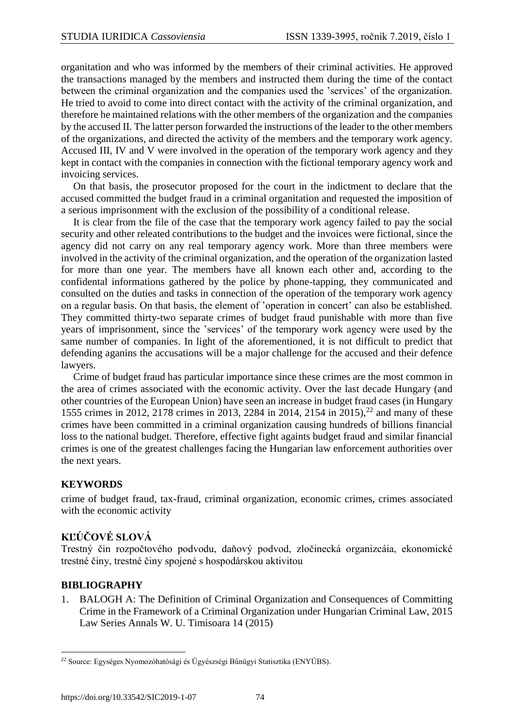organitation and who was informed by the members of their criminal activities. He approved the transactions managed by the members and instructed them during the time of the contact between the criminal organization and the companies used the 'services' of the organization. He tried to avoid to come into direct contact with the activity of the criminal organization, and therefore he maintained relations with the other members of the organization and the companies by the accused II. The latter person forwarded the instructions of the leader to the other members of the organizations, and directed the activity of the members and the temporary work agency. Accused III, IV and V were involved in the operation of the temporary work agency and they kept in contact with the companies in connection with the fictional temporary agency work and invoicing services.

On that basis, the prosecutor proposed for the court in the indictment to declare that the accused committed the budget fraud in a criminal organitation and requested the imposition of a serious imprisonment with the exclusion of the possibility of a conditional release.

It is clear from the file of the case that the temporary work agency failed to pay the social security and other releated contributions to the budget and the invoices were fictional, since the agency did not carry on any real temporary agency work. More than three members were involved in the activity of the criminal organization, and the operation of the organization lasted for more than one year. The members have all known each other and, according to the confidental informations gathered by the police by phone-tapping, they communicated and consulted on the duties and tasks in connection of the operation of the temporary work agency on a regular basis. On that basis, the element of 'operation in concert' can also be established. They committed thirty-two separate crimes of budget fraud punishable with more than five years of imprisonment, since the 'services' of the temporary work agency were used by the same number of companies. In light of the aforementioned, it is not difficult to predict that defending aganins the accusations will be a major challenge for the accused and their defence lawyers.

Crime of budget fraud has particular importance since these crimes are the most common in the area of crimes associated with the economic activity. Over the last decade Hungary (and other countries of the European Union) have seen an increase in budget fraud cases (in Hungary 1555 crimes in 2012, 2178 crimes in 2013, 2284 in 2014, 2154 in 2015), <sup>22</sup> and many of these crimes have been committed in a criminal organization causing hundreds of billions financial loss to the national budget. Therefore, effective fight againts budget fraud and similar financial crimes is one of the greatest challenges facing the Hungarian law enforcement authorities over the next years.

## **KEYWORDS**

crime of budget fraud, tax-fraud, criminal organization, economic crimes, crimes associated with the economic activity

## **KĽÚČOVÉ SLOVÁ**

Trestný čin rozpočtového podvodu, daňový podvod, zločinecká organizcáia, ekonomické trestné činy, trestné činy spojené s hospodárskou aktivitou

## **BIBLIOGRAPHY**

1. BALOGH A: The Definition of Criminal Organization and Consequences of Committing Crime in the Framework of a Criminal Organization under Hungarian Criminal Law, 2015 Law Series Annals W. U. Timisoara 14 (2015)

**<sup>.</sup>** <sup>22</sup> Source: Egységes Nyomozóhatósági és Ügyészségi Bűnügyi Statisztika (ENYÜBS).